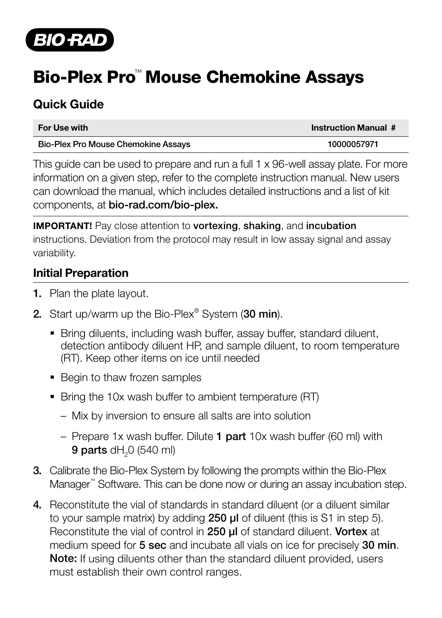

# Bio-Plex Pro™ Mouse Chemokine Assays

## Quick Guide

| For Use with                        | <b>Instruction Manual #</b> |
|-------------------------------------|-----------------------------|
| Bio-Plex Pro Mouse Chemokine Assays | 10000057971                 |

This guide can be used to prepare and run a full 1 x 96-well assay plate. For more information on a given step, refer to the complete instruction manual. New users can download the manual, which includes detailed instructions and a list of kit components, at bio-rad.com/bio-plex.

IMPORTANT! Pay close attention to vortexing, shaking, and incubation instructions. Deviation from the protocol may result in low assay signal and assay variability.

#### Initial Preparation

- 1. Plan the plate layout.
- 2. Start up/warm up the Bio-Plex $^{\circ}$  System (30 min).
	- Bring diluents, including wash buffer, assay buffer, standard diluent, detection antibody diluent HP, and sample diluent, to room temperature (RT). Keep other items on ice until needed
	- Begin to thaw frozen samples
	- Bring the 10x wash buffer to ambient temperature (RT)
		- Mix by inversion to ensure all salts are into solution
		- Prepare 1x wash buffer. Dilute 1 part 10x wash buffer (60 ml) with 9 parts dH<sub>2</sub>0 (540 ml)
- 3. Calibrate the Bio-Plex System by following the prompts within the Bio-Plex Manager™ Software. This can be done now or during an assay incubation step.
- 4. Reconstitute the vial of standards in standard diluent (or a diluent similar to your sample matrix) by adding 250 **µl** of diluent (this is S1 in step 5). Reconstitute the vial of control in 250 ul of standard diluent. Vortex at medium speed for 5 sec and incubate all vials on ice for precisely 30 min. Note: If using diluents other than the standard diluent provided, users must establish their own control ranges.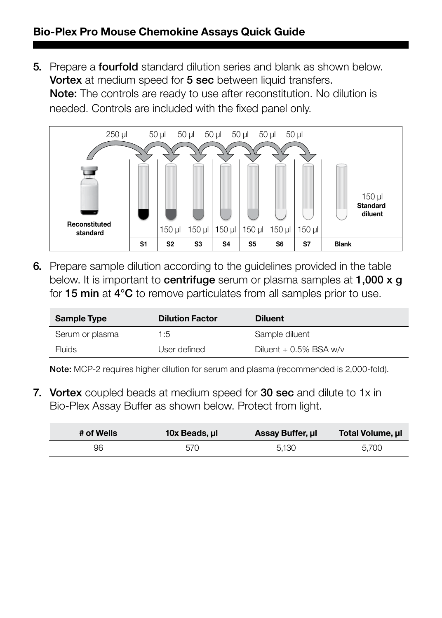#### Bio-Plex Pro Mouse Chemokine Assays Quick Guide

5. Prepare a **fourfold** standard dilution series and blank as shown below. Vortex at medium speed for 5 sec between liquid transfers. Note: The controls are ready to use after reconstitution. No dilution is needed. Controls are included with the fixed panel only.



6. Prepare sample dilution according to the guidelines provided in the table below. It is important to centrifuge serum or plasma samples at 1,000 x q for 15 min at 4°C to remove particulates from all samples prior to use.

| <b>Sample Type</b> | <b>Dilution Factor</b> | <b>Diluent</b>           |
|--------------------|------------------------|--------------------------|
| Serum or plasma    | 1:5                    | Sample diluent           |
| Fluids             | User defined           | Diluent $+0.5\%$ BSA w/v |

Note: MCP-2 requires higher dilution for serum and plasma (recommended is 2,000-fold).

7. Vortex coupled beads at medium speed for 30 sec and dilute to 1x in Bio-Plex Assay Buffer as shown below. Protect from light.

| # of Wells | 10x Beads, ul | Assay Buffer, ul | Total Volume, ul |
|------------|---------------|------------------|------------------|
| 96         | 570           | 5.130            | 5.700            |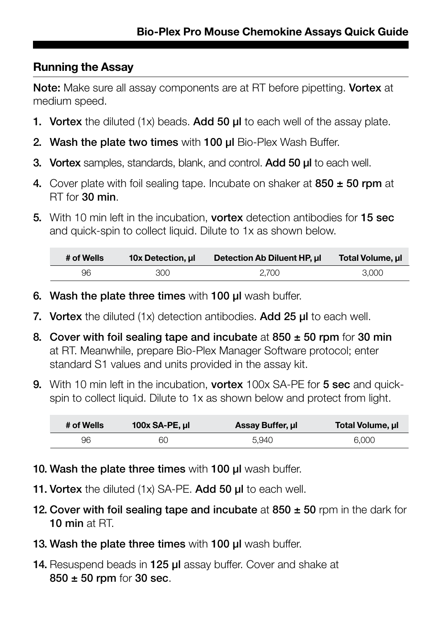### Running the Assay

Note: Make sure all assay components are at RT before pipetting. Vortex at medium speed.

- **1. Vortex** the diluted (1x) beads. Add 50  $\mu$  to each well of the assay plate.
- 2. Wash the plate two times with 100 µl Bio-Plex Wash Buffer.
- **3. Vortex** samples, standards, blank, and control. **Add 50 ul** to each well.
- 4. Cover plate with foil sealing tape. Incubate on shaker at  $850 \pm 50$  rpm at RT for 30 min.
- 5. With 10 min left in the incubation, vortex detection antibodies for 15 sec and quick-spin to collect liquid. Dilute to 1x as shown below.

| # of Wells | 10x Detection, ul | Detection Ab Diluent HP, ul | Total Volume, ul |
|------------|-------------------|-----------------------------|------------------|
| 96         | 300               | 2.700                       | 3.000            |

- 6. Wash the plate three times with 100 µl wash buffer.
- 7. Vortex the diluted (1x) detection antibodies. Add 25 ul to each well.
- 8. Cover with foil sealing tape and incubate at  $850 \pm 50$  rpm for 30 min at RT. Meanwhile, prepare Bio-Plex Manager Software protocol; enter standard S1 values and units provided in the assay kit.
- 9. With 10 min left in the incubation, **vortex** 100x SA-PE for **5 sec** and quickspin to collect liquid. Dilute to 1x as shown below and protect from light.

| # of Wells | 100x SA-PE, ul | Assay Buffer, ul | Total Volume, ul |
|------------|----------------|------------------|------------------|
| 96         | 60             | 5.940            | 6.000            |

- 10. Wash the plate three times with 100 µl wash buffer.
- 11. Vortex the diluted (1x) SA-PE. Add 50 µl to each well.
- 12. Cover with foil sealing tape and incubate at  $850 \pm 50$  rpm in the dark for 10 min at RT.
- 13. Wash the plate three times with 100 µl wash buffer.
- 14. Resuspend beads in 125 µl assay buffer. Cover and shake at 850 ± 50 rpm for 30 sec.